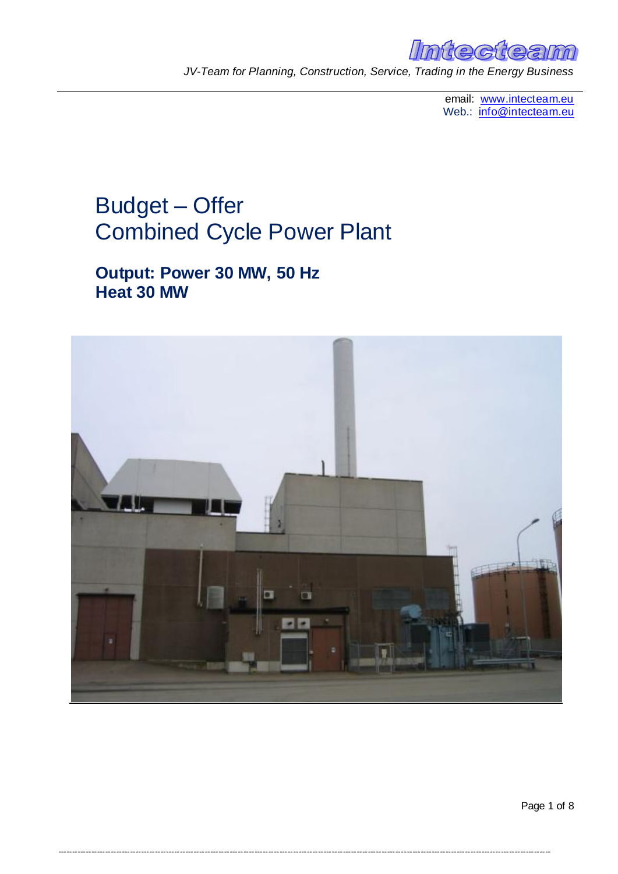Intectea

*JV-Team for Planning, Construction, Service, Trading in the Energy Business* 

 email: [www.intecteam.eu](http://www.intecteam.eu/) Web.: [info@intecteam.eu](mailto:info@intecteam.eu)

# Budget – Offer Combined Cycle Power Plant

# **Output: Power 30 MW, 50 Hz Heat 30 MW**



----------------------------------------------------------------------------------------------------------------------------------------------------------------------------------

Page 1 of 8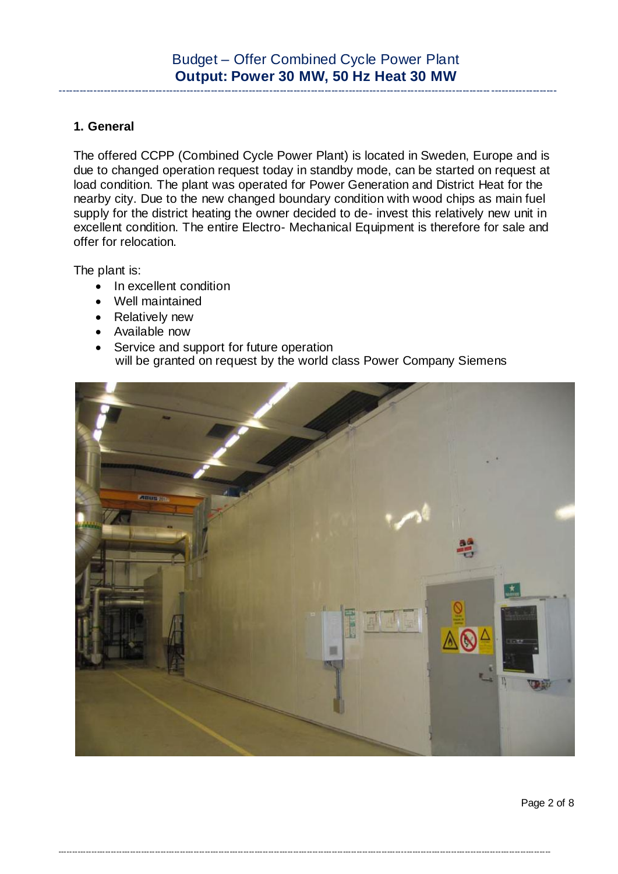# **1. General**

The offered CCPP (Combined Cycle Power Plant) is located in Sweden, Europe and is due to changed operation request today in standby mode, can be started on request at load condition. The plant was operated for Power Generation and District Heat for the nearby city. Due to the new changed boundary condition with wood chips as main fuel supply for the district heating the owner decided to de- invest this relatively new unit in excellent condition. The entire Electro- Mechanical Equipment is therefore for sale and offer for relocation.

The plant is:

- In excellent condition
- Well maintained
- Relatively new
- Available now
- Service and support for future operation will be granted on request by the world class Power Company Siemens



----------------------------------------------------------------------------------------------------------------------------------------------------------------------------------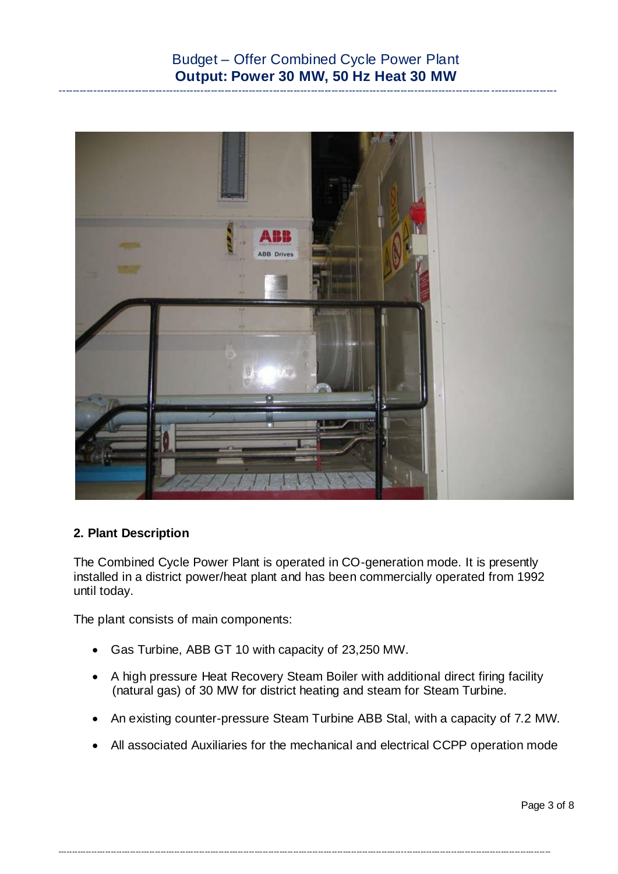

# **2. Plant Description**

The Combined Cycle Power Plant is operated in CO-generation mode. It is presently installed in a district power/heat plant and has been commercially operated from 1992 until today.

The plant consists of main components:

- Gas Turbine, ABB GT 10 with capacity of 23,250 MW.
- A high pressure Heat Recovery Steam Boiler with additional direct firing facility (natural gas) of 30 MW for district heating and steam for Steam Turbine.
- An existing counter-pressure Steam Turbine ABB Stal, with a capacity of 7.2 MW.
- All associated Auxiliaries for the mechanical and electrical CCPP operation mode

----------------------------------------------------------------------------------------------------------------------------------------------------------------------------------

Page 3 of 8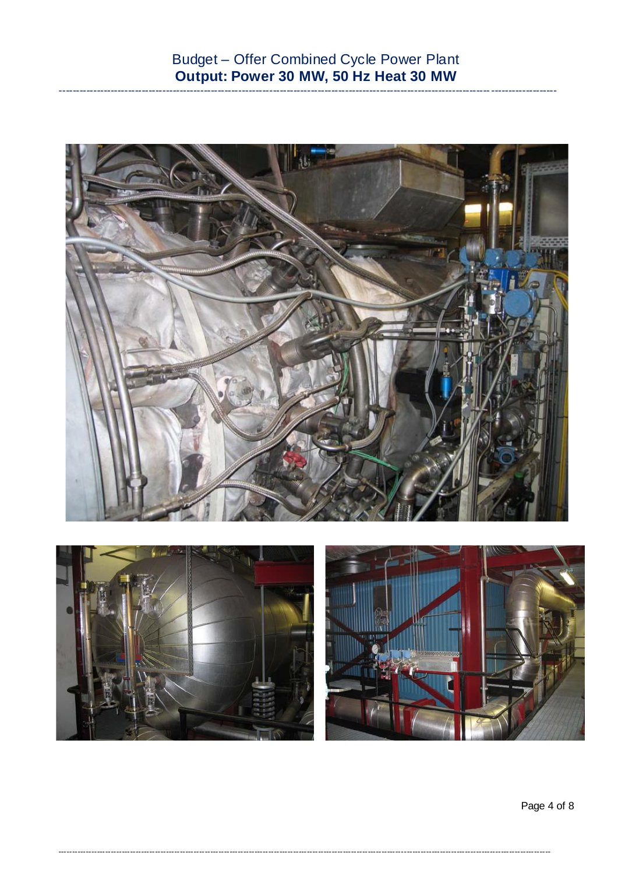



Page 4 of 8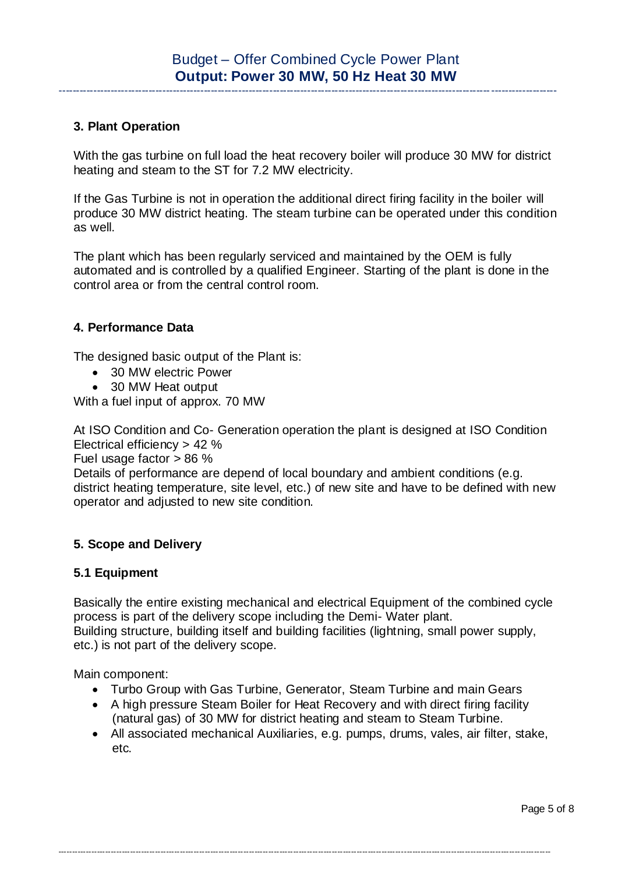# **3. Plant Operation**

With the gas turbine on full load the heat recovery boiler will produce 30 MW for district heating and steam to the ST for 7.2 MW electricity.

If the Gas Turbine is not in operation the additional direct firing facility in the boiler will produce 30 MW district heating. The steam turbine can be operated under this condition as well.

The plant which has been regularly serviced and maintained by the OEM is fully automated and is controlled by a qualified Engineer. Starting of the plant is done in the control area or from the central control room.

### **4. Performance Data**

The designed basic output of the Plant is:

- 30 MW electric Power
- 30 MW Heat output

With a fuel input of approx. 70 MW

At ISO Condition and Co- Generation operation the plant is designed at ISO Condition Electrical efficiency > 42 %

Fuel usage factor > 86 %

Details of performance are depend of local boundary and ambient conditions (e.g. district heating temperature, site level, etc.) of new site and have to be defined with new operator and adjusted to new site condition.

### **5. Scope and Delivery**

### **5.1 Equipment**

Basically the entire existing mechanical and electrical Equipment of the combined cycle process is part of the delivery scope including the Demi- Water plant. Building structure, building itself and building facilities (lightning, small power supply, etc.) is not part of the delivery scope.

Main component:

- Turbo Group with Gas Turbine, Generator, Steam Turbine and main Gears
- A high pressure Steam Boiler for Heat Recovery and with direct firing facility (natural gas) of 30 MW for district heating and steam to Steam Turbine.

----------------------------------------------------------------------------------------------------------------------------------------------------------------------------------

 All associated mechanical Auxiliaries, e.g. pumps, drums, vales, air filter, stake, etc.

Page 5 of 8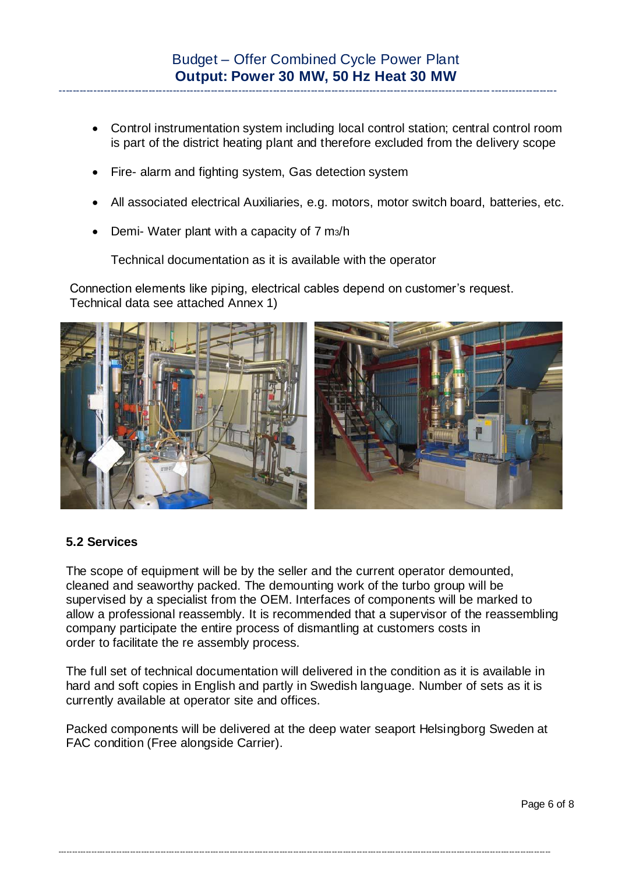- Control instrumentation system including local control station; central control room is part of the district heating plant and therefore excluded from the delivery scope
- Fire- alarm and fighting system, Gas detection system
- All associated electrical Auxiliaries, e.g. motors, motor switch board, batteries, etc.
- Demi- Water plant with a capacity of 7 m<sub>3</sub>/h

Technical documentation as it is available with the operator

 Connection elements like piping, electrical cables depend on customer's request. Technical data see attached Annex 1)



### **5.2 Services**

The scope of equipment will be by the seller and the current operator demounted, cleaned and seaworthy packed. The demounting work of the turbo group will be supervised by a specialist from the OEM. Interfaces of components will be marked to allow a professional reassembly. It is recommended that a supervisor of the reassembling company participate the entire process of dismantling at customers costs in order to facilitate the re assembly process.

The full set of technical documentation will delivered in the condition as it is available in hard and soft copies in English and partly in Swedish language. Number of sets as it is currently available at operator site and offices.

Packed components will be delivered at the deep water seaport Helsingborg Sweden at FAC condition (Free alongside Carrier).

----------------------------------------------------------------------------------------------------------------------------------------------------------------------------------

Page 6 of 8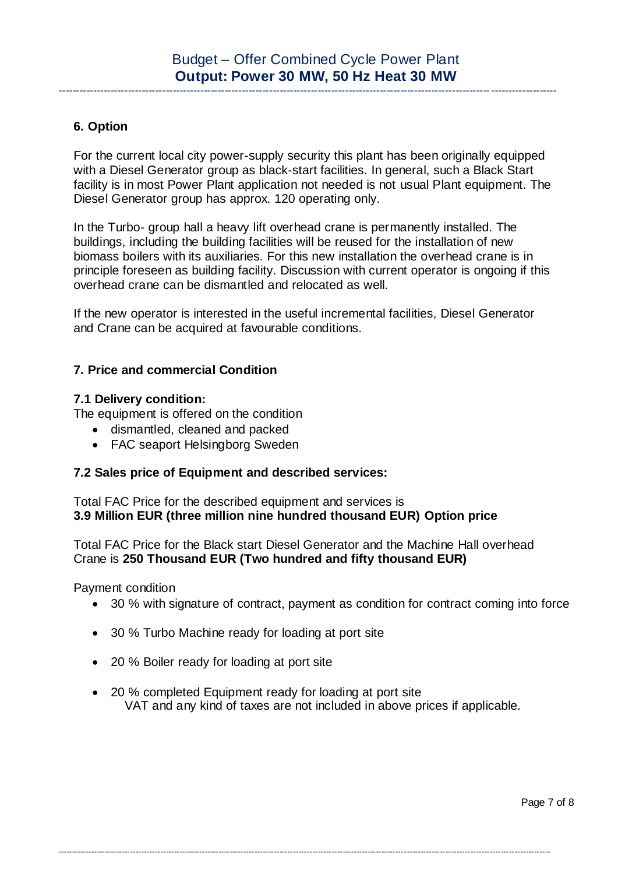# **6. Option**

For the current local city power-supply security this plant has been originally equipped with a Diesel Generator group as black-start facilities. In general, such a Black Start facility is in most Power Plant application not needed is not usual Plant equipment. The Diesel Generator group has approx. 120 operating only.

In the Turbo- group hall a heavy lift overhead crane is permanently installed. The buildings, including the building facilities will be reused for the installation of new biomass boilers with its auxiliaries. For this new installation the overhead crane is in principle foreseen as building facility. Discussion with current operator is ongoing if this overhead crane can be dismantled and relocated as well.

If the new operator is interested in the useful incremental facilities, Diesel Generator and Crane can be acquired at favourable conditions.

# **7. Price and commercial Condition**

### **7.1 Delivery condition:**

The equipment is offered on the condition

- dismantled, cleaned and packed
- FAC seaport Helsingborg Sweden

### **7.2 Sales price of Equipment and described services:**

Total FAC Price for the described equipment and services is **3.9 Million EUR (three million nine hundred thousand EUR) Option price**

Total FAC Price for the Black start Diesel Generator and the Machine Hall overhead Crane is **250 Thousand EUR (Two hundred and fifty thousand EUR)**

Payment condition

- 30 % with signature of contract, payment as condition for contract coming into force
- 30 % Turbo Machine ready for loading at port site
- 20 % Boiler ready for loading at port site
- 20 % completed Equipment ready for loading at port site VAT and any kind of taxes are not included in above prices if applicable.

----------------------------------------------------------------------------------------------------------------------------------------------------------------------------------

Page 7 of 8